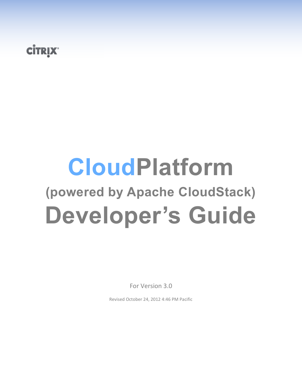# **CİTRIX**

# **CloudPlatform (powered by Apache CloudStack) Developer's Guide**

For Version 3.0

Revised October 24, 2012 4:46 PM Pacific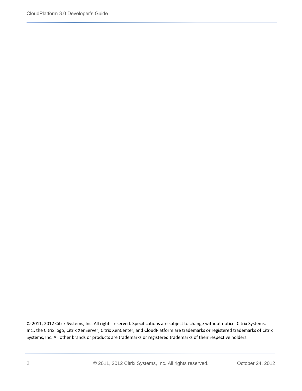© 2011, 2012 Citrix Systems, Inc. All rights reserved. Specifications are subject to change without notice. Citrix Systems, Inc., the Citrix logo, Citrix XenServer, Citrix XenCenter, and CloudPlatform are trademarks or registered trademarks of Citrix Systems, Inc. All other brands or products are trademarks or registered trademarks of their respective holders.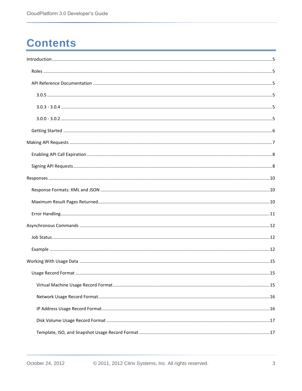# **Contents**

| 15 |
|----|
|    |
|    |
|    |
|    |
|    |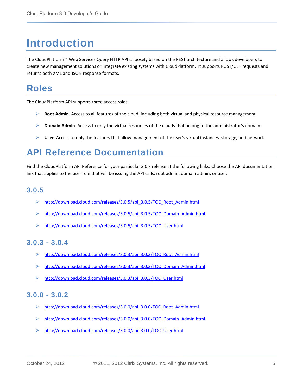# <span id="page-4-0"></span>**Introduction**

The CloudPlatform™ Web Services Query HTTP API is loosely based on the REST architecture and allows developers to create new management solutions or integrate existing systems with CloudPlatform. It supports POST/GET requests and returns both XML and JSON response formats.

### <span id="page-4-1"></span>**Roles**

The CloudPlatform API supports three access roles.

- **Root Admin**. Access to all features of the cloud, including both virtual and physical resource management.
- **Domain Admin**. Access to only the virtual resources of the clouds that belong to the administrator's domain.
- **User**. Access to only the features that allow management of the user's virtual instances, storage, and network.

### <span id="page-4-2"></span>**API Reference Documentation**

Find the CloudPlatform API Reference for your particular 3.0.x release at the following links. Choose the API documentation link that applies to the user role that will be issuing the API calls: root admin, domain admin, or user.

#### <span id="page-4-3"></span>**3.0.5**

- $\triangleright$  [http://download.cloud.com/releases/3.0.5/api\\_3.0.5/TOC\\_Root\\_Admin.html](http://download.cloud.com/releases/3.0.5/api_3.0.5/TOC_Root_Admin.html)
- [http://download.cloud.com/releases/3.0.5/api\\_3.0.5/TOC\\_Domain\\_Admin.html](http://download.cloud.com/releases/3.0.5/api_3.0.5/TOC_Domain_Admin.html)
- [http://download.cloud.com/releases/3.0.5/api\\_3.0.5/TOC\\_User.html](http://download.cloud.com/releases/3.0.5/api_3.0.5/TOC_User.html)

#### <span id="page-4-4"></span>**3.0.3 - 3.0.4**

- [http://download.cloud.com/releases/3.0.3/api\\_3.0.3/TOC\\_Root\\_Admin.html](http://download.cloud.com/releases/3.0.3/api_3.0.3/TOC_Root_Admin.html)
- [http://download.cloud.com/releases/3.0.3/api\\_3.0.3/TOC\\_Domain\\_Admin.html](http://download.cloud.com/releases/3.0.3/api_3.0.3/TOC_Domain_Admin.html)
- [http://download.cloud.com/releases/3.0.3/api\\_3.0.3/TOC\\_User.html](http://download.cloud.com/releases/3.0.3/api_3.0.3/TOC_User.html)

#### <span id="page-4-5"></span>**3.0.0 - 3.0.2**

- [http://download.cloud.com/releases/3.0.0/api\\_3.0.0/TOC\\_Root\\_Admin.html](http://download.cloud.com/releases/3.0.0/api_3.0.0/TOC_Root_Admin.html)
- [http://download.cloud.com/releases/3.0.0/api\\_3.0.0/TOC\\_Domain\\_Admin.html](http://download.cloud.com/releases/3.0.0/api_3.0.0/TOC_Domain_Admin.html)
- [http://download.cloud.com/releases/3.0.0/api\\_3.0.0/TOC\\_User.html](http://download.cloud.com/releases/3.0.0/api_3.0.0/TOC_User.html)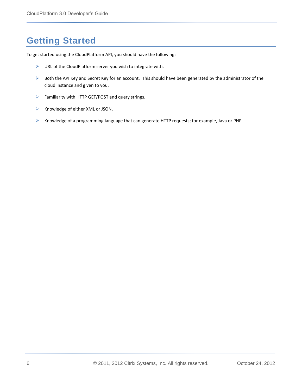### <span id="page-5-0"></span>**Getting Started**

To get started using the CloudPlatform API, you should have the following:

- $\triangleright$  URL of the CloudPlatform server you wish to integrate with.
- $\triangleright$  Both the API Key and Secret Key for an account. This should have been generated by the administrator of the cloud instance and given to you.
- Familiarity with HTTP GET/POST and query strings.
- $\triangleright$  Knowledge of either XML or JSON.
- $\triangleright$  Knowledge of a programming language that can generate HTTP requests; for example, Java or PHP.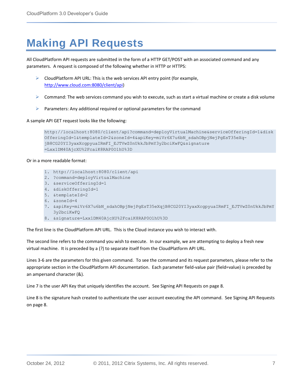# <span id="page-6-0"></span>**Making API Requests**

All CloudPlatform API requests are submitted in the form of a HTTP GET/POST with an associated command and any parameters. A request is composed of the following whether in HTTP or HTTPS:

- CloudPlatform API URL: This is the web services API entry point (for example, [http://www.cloud.com:8080/client/api\)](http://www.cloud.com:8080/client/api)
- $\triangleright$  Command: The web services command you wish to execute, such as start a virtual machine or create a disk volume
- $\triangleright$  Parameters: Any additional required or optional parameters for the command

A sample API GET request looks like the following:

```
http://localhost:8080/client/api?command=deployVirtualMachine&serviceOfferingId=1&disk
OfferingId=1&templateId=2&zoneId=4&apiKey=miVr6X7u6bN_sdahOBpjNejPgEsT35eXq-
jB8CG20YI3yaxXcgpyuaIRmFI_EJTVwZ0nUkkJbPmY3y2bciKwFQ&signature
=Lxx1DM40AjcXU%2FcaiK8RAP0O1hU%3D
```
#### Or in a more readable format:

- 1. http://localhost:8080/client/api
- 2. ?command=deployVirtualMachine
- 3. &serviceOfferingId=1
- 4. &diskOfferingId=1
- 5. &templateId=2
- 6. &zoneId=4
- 7. &apiKey=miVr6X7u6bN\_sdahOBpjNejPgEsT35eXqjB8CG20YI3yaxXcgpyuaIRmFI\_EJTVwZ0nUkkJbPmY 3y2bciKwFQ
- 8. &signature=Lxx1DM40AjcXU%2FcaiK8RAP0O1hU%3D

The first line is the CloudPlatform API URL. This is the Cloud instance you wish to interact with.

The second line refers to the command you wish to execute. In our example, we are attempting to deploy a fresh new virtual machine. It is preceded by a (?) to separate itself from the CloudPlatform API URL.

Lines 3-6 are the parameters for this given command. To see the command and its request parameters, please refer to the appropriate section in the CloudPlatform API documentation. Each parameter field-value pair (field=value) is preceded by an ampersand character (&).

Line 7 is the user API Key that uniquely identifies the account. See [Signing API Requests](#page-7-1) on page [8.](#page-7-1)

Line 8 is the signature hash created to authenticate the user account executing the API command. See [Signing API Requests](#page-7-1) on page [8.](#page-7-1)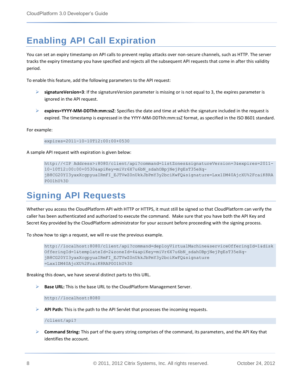### <span id="page-7-0"></span>**Enabling API Call Expiration**

You can set an expiry timestamp on API calls to prevent replay attacks over non-secure channels, such as HTTP. The server tracks the expiry timestamp you have specified and rejects all the subsequent API requests that come in after this validity period.

To enable this feature, add the following parameters to the API request:

- **signatureVersion=3**: If the signatureVersion parameter is missing or is not equal to 3, the expires parameter is ignored in the API request.
- **expires=YYYY-MM-DDThh:mm:ssZ**: Specifies the date and time at which the signature included in the request is expired. The timestamp is expressed in the YYYY-MM-DDThh:mm:ssZ format, as specified in the ISO 8601 standard.

For example:

expires=2011-10-10T12:00:00+0530

A sample API request with expiration is given below:

```
http://<IP Address>:8080/client/api?command=listZones&signatureVersion=3&expires=2011-
10-10T12:00:00+0530&apiKey=miVr6X7u6bN_sdahOBpjNejPgEsT35eXq-
jB8CG20YI3yaxXcgpyuaIRmFI_EJTVwZ0nUkkJbPmY3y2bciKwFQ&signature=Lxx1DM40AjcXU%2FcaiK8RA
P0O1hU%3D
```
### <span id="page-7-1"></span>**Signing API Requests**

Whether you access the CloudPlatform API with HTTP or HTTPS, it must still be signed so that CloudPlatform can verify the caller has been authenticated and authorized to execute the command. Make sure that you have both the API Key and Secret Key provided by the CloudPlatform administrator for your account before proceeding with the signing process.

To show how to sign a request, we will re-use the previous example.

```
http://localhost:8080/client/api?command=deployVirtualMachine&serviceOfferingId=1&disk
OfferingId=1&templateId=2&zoneId=4&apiKey=miVr6X7u6bN_sdahOBpjNejPgEsT35eXq-
jB8CG20YI3yaxXcgpyuaIRmFI_EJTVwZ0nUkkJbPmY3y2bciKwFQ&signature
=Lxx1DM40AjcXU%2FcaiK8RAP0O1hU%3D
```
Breaking this down, we have several distinct parts to this URL.

**Base URL:** This is the base URL to the CloudPlatform Management Server.

http://localhost:8080

**API Path:** This is the path to the API Servlet that processes the incoming requests.

/client/api?

 **Command String:** This part of the query string comprises of the command, its parameters, and the API Key that identifies the account.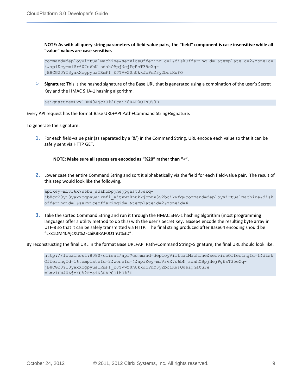**NOTE: As with all query string parameters of field-value pairs, the "field" component is case insensitive while all "value" values are case sensitive.**

```
command=deployVirtualMachine&serviceOfferingId=1&diskOfferingId=1&templateId=2&zoneId=
4&apiKey=miVr6X7u6bN_sdahOBpjNejPgEsT35eXq-
jB8CG20YI3yaxXcgpyuaIRmFI_EJTVwZ0nUkkJbPmY3y2bciKwFQ
```
 **Signature:** This is the hashed signature of the Base URL that is generated using a combination of the user's Secret Key and the HMAC SHA-1 hashing algorithm.

&signature=Lxx1DM40AjcXU%2FcaiK8RAP0O1hU%3D

Every API request has the format Base URL+API Path+Command String+Signature.

To generate the signature.

**1.** For each field-value pair (as separated by a '&') in the Command String, URL encode each value so that it can be safely sent via HTTP GET.

#### **NOTE: Make sure all spaces are encoded as "%20" rather than "+".**

**2.** Lower case the entire Command String and sort it alphabetically via the field for each field-value pair. The result of this step would look like the following.

apikey=mivr6x7u6bn\_sdahobpjnejpgest35exqjb8cg20yi3yaxxcgpyuairmfi\_ejtvwz0nukkjbpmy3y2bcikwfq&command=deployvirtualmachine&disk offeringid=1&serviceofferingid=1&templateid=2&zoneid=4

**3.** Take the sorted Command String and run it through the HMAC SHA-1 hashing algorithm (most programming languages offer a utility method to do this) with the user's Secret Key. Base64 encode the resulting byte array in UTF-8 so that it can be safely transmitted via HTTP. The final string produced after Base64 encoding should be "Lxx1DM40AjcXU%2FcaiK8RAP0O1hU%3D".

By reconstructing the final URL in the format Base URL+API Path+Command String+Signature, the final URL should look like:

http://localhost:8080/client/api?command=deployVirtualMachine&serviceOfferingId=1&disk OfferingId=1&templateId=2&zoneId=4&apiKey=miVr6X7u6bN\_sdahOBpjNejPgEsT35eXqjB8CG20YI3yaxXcgpyuaIRmFI\_EJTVwZ0nUkkJbPmY3y2bciKwFQ&signature =Lxx1DM40AjcXU%2FcaiK8RAP0O1hU%3D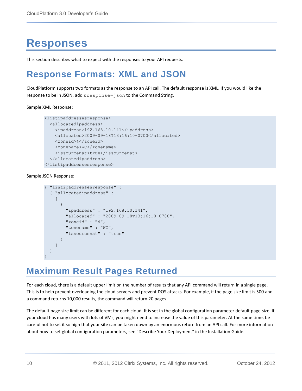# <span id="page-9-0"></span>**Responses**

This section describes what to expect with the responses to your API requests.

### <span id="page-9-1"></span>**Response Formats: XML and JSON**

CloudPlatform supports two formats as the response to an API call. The default response is XML. If you would like the response to be in JSON, add & response=json to the Command String.

#### Sample XML Response:

```
<listipaddressesresponse> 
   <allocatedipaddress> 
     <ipaddress>192.168.10.141</ipaddress> 
     <allocated>2009-09-18T13:16:10-0700</allocated> 
     <zoneid>4</zoneid> 
     <zonename>WC</zonename> 
     <issourcenat>true</issourcenat> 
   </allocatedipaddress> 
</listipaddressesresponse>
```
Sample JSON Response:

```
{ "listipaddressesresponse" : 
   { "allocatedipaddress" :
    \lceil { 
          "ipaddress" : "192.168.10.141", 
          "allocated" : "2009-09-18T13:16:10-0700",
          "zoneid" : "4", 
          "zonename" : "WC", 
          "issourcenat" : "true" 
 } 
     ]
   } 
}
```
### <span id="page-9-2"></span>**Maximum Result Pages Returned**

For each cloud, there is a default upper limit on the number of results that any API command will return in a single page. This is to help prevent overloading the cloud servers and prevent DOS attacks. For example, if the page size limit is 500 and a command returns 10,000 results, the command will return 20 pages.

The default page size limit can be different for each cloud. It is set in the global configuration parameter default.page.size. If your cloud has many users with lots of VMs, you might need to increase the value of this parameter. At the same time, be careful not to set it so high that your site can be taken down by an enormous return from an API call. For more information about how to set global configuration parameters, see "Describe Your Deployment" in the Installation Guide.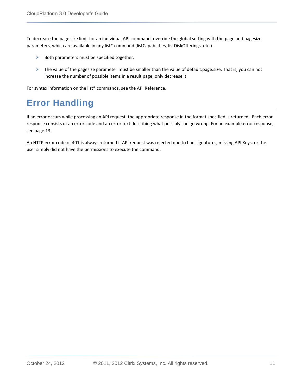To decrease the page size limit for an individual API command, override the global setting with the page and pagesize parameters, which are available in any list\* command (listCapabilities, listDiskOfferings, etc.).

- $\triangleright$  Both parameters must be specified together.
- $\triangleright$  The value of the pagesize parameter must be smaller than the value of default.page.size. That is, you can not increase the number of possible items in a result page, only decrease it.

For syntax information on the list\* commands, see the API Reference.

### <span id="page-10-0"></span>**Error Handling**

If an error occurs while processing an API request, the appropriate response in the format specified is returned. Each error response consists of an error code and an error text describing what possibly can go wrong. For an example error response, see page [13.](#page-12-0)

An HTTP error code of 401 is always returned if API request was rejected due to bad signatures, missing API Keys, or the user simply did not have the permissions to execute the command.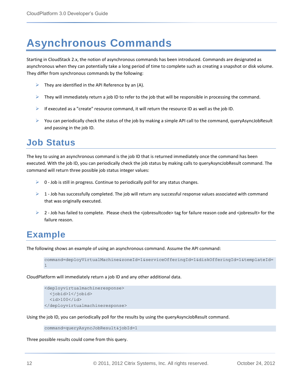# <span id="page-11-0"></span>**Asynchronous Commands**

Starting in CloudStack 2.x, the notion of asynchronous commands has been introduced. Commands are designated as asynchronous when they can potentially take a long period of time to complete such as creating a snapshot or disk volume. They differ from synchronous commands by the following:

- $\triangleright$  They are identified in the API Reference by an (A).
- $\triangleright$  They will immediately return a job ID to refer to the job that will be responsible in processing the command.
- $\triangleright$  If executed as a "create" resource command, it will return the resource ID as well as the job ID.
- You can periodically check the status of the job by making a simple API call to the command, queryAsyncJobResult and passing in the job ID.

### <span id="page-11-1"></span>**Job Status**

The key to using an asynchronous command is the job ID that is returned immediately once the command has been executed. With the job ID, you can periodically check the job status by making calls to queryAsyncJobResult command. The command will return three possible job status integer values:

- $\triangleright$  0 Job is still in progress. Continue to periodically poll for any status changes.
- $\geq 1$  Job has successfully completed. The job will return any successful response values associated with command that was originally executed.
- $\triangleright$  2 Job has failed to complete. Please check the <jobresultcode> tag for failure reason code and <jobresult> for the failure reason.

### <span id="page-11-2"></span>**Example**

The following shows an example of using an asynchronous command. Assume the API command:

```
command=deployVirtualMachine&zoneId=1&serviceOfferingId=1&diskOfferingId=1&templateId=
1
```
CloudPlatform will immediately return a job ID and any other additional data.

```
<deployvirtualmachineresponse> 
  <jobid>1</jobid> 
  <id>100</id>
</deployvirtualmachineresponse>
```
Using the job ID, you can periodically poll for the results by using the queryAsyncJobResult command.

```
command=queryAsyncJobResult&jobId=1
```
Three possible results could come from this query.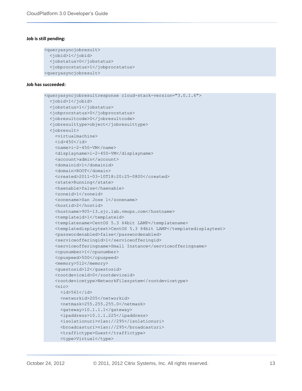#### **Job is still pending:**

```
<queryasyncjobresult> 
  <jobid>1</jobid> 
   <jobstatus>0</jobstatus>
  <jobprocstatus>1</jobprocstatus>
<queryasyncjobresult>
```
#### <span id="page-12-0"></span>**Job has succeeded:**

```
<queryasyncjobresultresponse cloud-stack-version="3.0.1.6">
   <jobid>1</jobid>
  <jobstatus>1</jobstatus>
  <jobprocstatus>0</jobprocstatus>
   <jobresultcode>0</jobresultcode>
  <jobresulttype>object</jobresulttype>
  <jobresult>
    <virtualmachine>
   <id>450</id>
   <name>i-2-450-VM</name> <displayname>i-2-450-VM</displayname>
    <account>admin</account>
    <domainid>1</domainid>
    <domain>ROOT</domain>
    <created>2011-03-10T18:20:25-0800</created>
   <state>Running</state>
    <haenable>false</haenable>
    <zoneid>1</zoneid>
    <zonename>San Jose 1</zonename>
     <hostid>2</hostid>
    <hostname>905-13.sjc.lab.vmops.com</hostname>
   <templateid>1</templateid>
   <templatename>CentOS 5.3 64bit LAMP</templatename>
    <templatedisplaytext>CentOS 5.3 64bit LAMP</templatedisplaytext>
    <passwordenabled>false</passwordenabled>
    <serviceofferingid>1</serviceofferingid>
    <serviceofferingname>Small Instance</serviceofferingname>
     <cpunumber>1</cpunumber>
     <cpuspeed>500</cpuspeed>
    <memory>512</memory>
    <guestosid>12</guestosid>
   <rootdeviceid>0</rootdeviceid>
    <rootdevicetype>NetworkFilesystem</rootdevicetype>
    <nic><id>561</id>
       <networkid>205</networkid>
       <netmask>255.255.255.0</netmask>
       <gateway>10.1.1.1</gateway>
       <ipaddress>10.1.1.225</ipaddress>
       <isolationuri>vlan://295</isolationuri>
       <broadcasturi>vlan://295</broadcasturi>
       <traffictype>Guest</traffictype>
       <type>Virtual</type>
```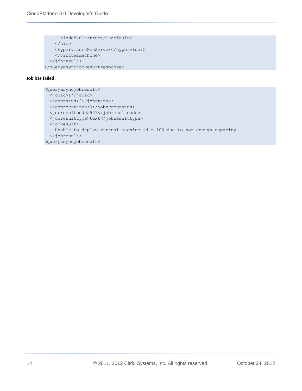```
 <isdefault>true</isdefault>
    \langle/nic\rangle <hypervisor>XenServer</hypervisor>
     </virtualmachine>
   </jobresult>
</queryasyncjobresultresponse>
```
#### **Job has failed:**

```
<queryasyncjobresult> 
   <jobid>1</jobid> 
   <jobstatus>2</jobstatus> 
   <jobprocstatus>0</jobprocstatus>
   <jobresultcode>551</jobresultcode>
   <jobresulttype>text</jobresulttype>
   <jobresult>
     Unable to deploy virtual machine id = 100 due to not enough capacity
   </jobresult> 
<queryasyncjobresult>
```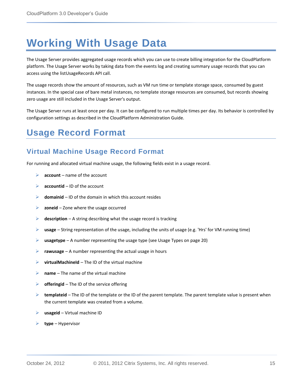# <span id="page-14-0"></span>**Working With Usage Data**

The Usage Server provides aggregated usage records which you can use to create billing integration for the CloudPlatform platform. The Usage Server works by taking data from the events log and creating summary usage records that you can access using the listUsageRecords API call.

The usage records show the amount of resources, such as VM run time or template storage space, consumed by guest instances. In the special case of bare metal instances, no template storage resources are consumed, but records showing zero usage are still included in the Usage Server's output.

The Usage Server runs at least once per day. It can be configured to run multiple times per day. Its behavior is controlled by configuration settings as described in the CloudPlatform Administration Guide.

### <span id="page-14-1"></span>**Usage Record Format**

### <span id="page-14-2"></span>**Virtual Machine Usage Record Format**

For running and allocated virtual machine usage, the following fields exist in a usage record.

- **account** name of the account
- **accountid** ID of the account
- **domainid** ID of the domain in which this account resides
- **zoneid** Zone where the usage occurred
- **description** A string describing what the usage record is tracking
- **usage** String representation of the usage, including the units of usage (e.g. 'Hrs' for VM running time)
- **usagetype** A number representing the usage type (se[e Usage Types](#page-19-0) on page [20\)](#page-19-0)
- **rawusage** A number representing the actual usage in hours
- **virtualMachineId** The ID of the virtual machine
- **name** The name of the virtual machine
- **Fig. 3** offeringid The ID of the service offering
- **►** templateid The ID of the template or the ID of the parent template. The parent template value is present when the current template was created from a volume.
- **usageid** Virtual machine ID
- **type** Hypervisor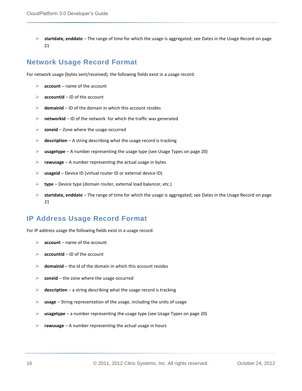**startdate, enddate** – The range of time for which the usage is aggregated; se[e Dates in the Usage Record](#page-20-1) on page [21](#page-20-1)

### <span id="page-15-0"></span>**Network Usage Record Format**

For network usage (bytes sent/received), the following fields exist in a usage record.

- **account** name of the account
- **accountid** ID of the account
- $\triangleright$  **domainid** ID of the domain in which this account resides
- **EX hetworkid** ID of the network for which the traffic was generated
- **zoneid** Zone where the usage occurred
- **description** A string describing what the usage record is tracking
- **usagetype** A number representing the usage type (see [Usage Types](#page-19-0) on page [20\)](#page-19-0)
- **rawusage** A number representing the actual usage in bytes
- **usageid** Device ID (virtual router ID or external device ID)
- **type** Device type (domain router, external load balancer, etc.)
- **startdate, enddate** The range of time for which the usage is aggregated; se[e Dates in the Usage Record](#page-20-1) on page [21](#page-20-1)

#### <span id="page-15-1"></span>**IP Address Usage Record Format**

For IP address usage the following fields exist in a usage record.

- **account** name of the account
- **accountid** ID of the account
- **domainid** the id of the domain in which this account resides
- **zoneid** the zone where the usage occurred
- **description** a string describing what the usage record is tracking
- **usage** String representation of the usage, including the units of usage
- **usagetype** a number representing the usage type (se[e Usage Types](#page-19-0) on page [20\)](#page-19-0)
- **rawusage** A number representing the actual usage in hours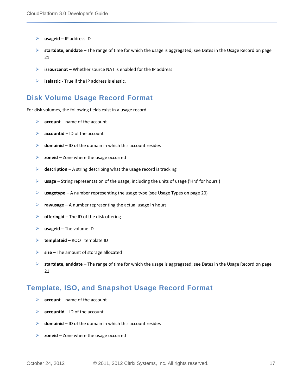- **usageid** IP address ID
- **startdate, enddate** The range of time for which the usage is aggregated; se[e Dates in the Usage Record](#page-20-1) on page [21](#page-20-1)
- **issourcenat** Whether source NAT is enabled for the IP address
- **iselastic**  True if the IP address is elastic.

#### <span id="page-16-0"></span>**Disk Volume Usage Record Format**

For disk volumes, the following fields exist in a usage record.

- **account** name of the account
- **accountid** ID of the account
- **domainid** ID of the domain in which this account resides
- **zoneid** Zone where the usage occurred
- **description** A string describing what the usage record is tracking
- **usage** String representation of the usage, including the units of usage ('Hrs' for hours )
- **usagetype** A number representing the usage type (see [Usage Types](#page-19-0) on page [20\)](#page-19-0)
- **rawusage** A number representing the actual usage in hours
- **offeringid** The ID of the disk offering
- **usageid** The volume ID
- **templateid** ROOT template ID
- **size** The amount of storage allocated
- **startdate, enddate** The range of time for which the usage is aggregated; se[e Dates in the Usage Record](#page-20-1) on page [21](#page-20-1)

#### <span id="page-16-1"></span>**Template, ISO, and Snapshot Usage Record Format**

- **account** name of the account
- **accountid** ID of the account
- **domainid** ID of the domain in which this account resides
- **zoneid** Zone where the usage occurred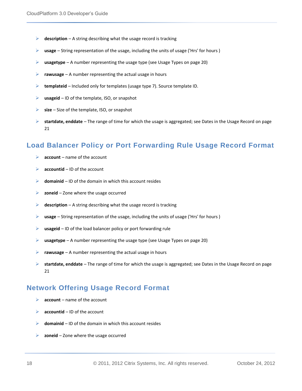- **description** A string describing what the usage record is tracking
- **usage** String representation of the usage, including the units of usage ('Hrs' for hours )
- **usagetype** A number representing the usage type (see [Usage Types](#page-19-0) on page [20\)](#page-19-0)
- **rawusage** A number representing the actual usage in hours
- **templateid** Included only for templates (usage type 7). Source template ID.
- **usageid** ID of the template, ISO, or snapshot
- **size** Size of the template, ISO, or snapshot
- **startdate, enddate** The range of time for which the usage is aggregated; se[e Dates in the Usage Record](#page-20-1) on page [21](#page-20-1)

#### <span id="page-17-0"></span>**Load Balancer Policy or Port Forwarding Rule Usage Record Format**

- **account** name of the account
- **accountid** ID of the account
- $\triangleright$  **domainid** ID of the domain in which this account resides
- **zoneid** Zone where the usage occurred
- **description** A string describing what the usage record is tracking
- **usage** String representation of the usage, including the units of usage ('Hrs' for hours )
- **usageid** ID of the load balancer policy or port forwarding rule
- **usagetype** A number representing the usage type (see [Usage Types](#page-19-0) on page [20\)](#page-19-0)
- **rawusage** A number representing the actual usage in hours
- **startdate, enddate** The range of time for which the usage is aggregated; see [Dates in the Usage Record](#page-20-1) on page [21](#page-20-1)

#### <span id="page-17-1"></span>**Network Offering Usage Record Format**

- **account** name of the account
- **accountid** ID of the account
- **domainid** ID of the domain in which this account resides
- **zoneid** Zone where the usage occurred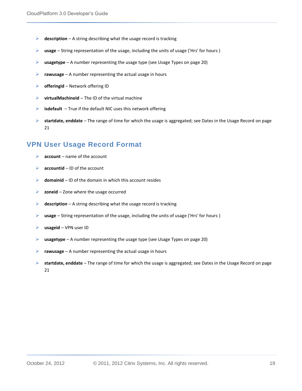- **description** A string describing what the usage record is tracking
- **usage** String representation of the usage, including the units of usage ('Hrs' for hours )
- **usagetype** A number representing the usage type (see [Usage Types](#page-19-0) on page [20\)](#page-19-0)
- **rawusage** A number representing the actual usage in hours
- **offeringid** Network offering ID
- **virtualMachineId** The ID of the virtual machine
- **isdefault** True if the default NIC uses this network offering
- **startdate, enddate** The range of time for which the usage is aggregated; se[e Dates in the Usage Record](#page-20-1) on page [21](#page-20-1)

### <span id="page-18-0"></span>**VPN User Usage Record Format**

- **account** name of the account
- **accountid** ID of the account
- **domainid** ID of the domain in which this account resides
- **zoneid** Zone where the usage occurred
- **description** A string describing what the usage record is tracking
- **usage** String representation of the usage, including the units of usage ('Hrs' for hours )
- **usageid** VPN user ID
- **usagetype** A number representing the usage type (see [Usage Types](#page-19-0) on page [20\)](#page-19-0)
- **rawusage** A number representing the actual usage in hours
- **startdate, enddate** The range of time for which the usage is aggregated; see [Dates in the Usage Record](#page-20-1) on page [21](#page-20-1)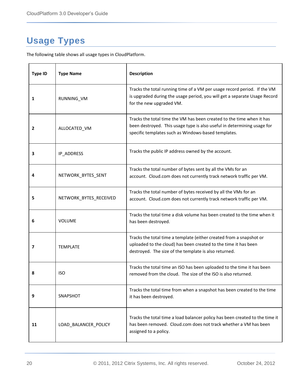### <span id="page-19-0"></span>**Usage Types**

The following table shows all usage types in CloudPlatform.

| <b>Type ID</b> | <b>Type Name</b>       | Description                                                                                                                                                                                             |
|----------------|------------------------|---------------------------------------------------------------------------------------------------------------------------------------------------------------------------------------------------------|
| 1              | RUNNING_VM             | Tracks the total running time of a VM per usage record period. If the VM<br>is upgraded during the usage period, you will get a separate Usage Record<br>for the new upgraded VM.                       |
| $\overline{2}$ | ALLOCATED_VM           | Tracks the total time the VM has been created to the time when it has<br>been destroyed. This usage type is also useful in determining usage for<br>specific templates such as Windows-based templates. |
| 3              | IP_ADDRESS             | Tracks the public IP address owned by the account.                                                                                                                                                      |
| 4              | NETWORK_BYTES_SENT     | Tracks the total number of bytes sent by all the VMs for an<br>account. Cloud.com does not currently track network traffic per VM.                                                                      |
| 5              | NETWORK_BYTES_RECEIVED | Tracks the total number of bytes received by all the VMs for an<br>account. Cloud.com does not currently track network traffic per VM.                                                                  |
| 6              | <b>VOLUME</b>          | Tracks the total time a disk volume has been created to the time when it<br>has been destroyed.                                                                                                         |
| 7              | <b>TEMPLATE</b>        | Tracks the total time a template (either created from a snapshot or<br>uploaded to the cloud) has been created to the time it has been<br>destroyed. The size of the template is also returned.         |
| 8              | <b>ISO</b>             | Tracks the total time an ISO has been uploaded to the time it has been<br>removed from the cloud. The size of the ISO is also returned.                                                                 |
| 9              | SNAPSHOT               | Tracks the total time from when a snapshot has been created to the time<br>it has been destroyed.                                                                                                       |
| 11             | LOAD_BALANCER_POLICY   | Tracks the total time a load balancer policy has been created to the time it<br>has been removed. Cloud.com does not track whether a VM has been<br>assigned to a policy.                               |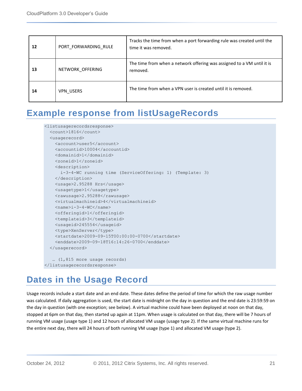| 12 | PORT FORWARDING RULE | Tracks the time from when a port forwarding rule was created until the<br>time it was removed. |
|----|----------------------|------------------------------------------------------------------------------------------------|
| 13 | NETWORK OFFERING     | The time from when a network offering was assigned to a VM until it is<br>removed.             |
| 14 | VPN USERS            | The time from when a VPN user is created until it is removed.                                  |

### <span id="page-20-0"></span>**Example response from listUsageRecords**

```
<listusagerecordsresponse>
   <count>1816</count>
   <usagerecord>
     <account>user5</account>
     <accountid>10004</accountid>
     <domainid>1</domainid>
     <zoneid>1</zoneid>
     <description>
      i-3-4-WC running time (ServiceOffering: 1) (Template: 3)
     </description>
     <usage>2.95288 Hrs</usage>
     <usagetype>1</usagetype>
     <rawusage>2.95288</rawusage>
     <virtualmachineid>4</virtualmachineid>
   <name>i-3-4-WC</name> <offeringid>1</offeringid>
    <templateid>3</templateid>
     <usageid>245554</usageid>
     <type>XenServer</type>
     <startdate>2009-09-15T00:00:00-0700</startdate>
     <enddate>2009-09-18T16:14:26-0700</enddate>
   </usagerecord>
    … (1,815 more usage records)
</listusagerecordsresponse>
```
### <span id="page-20-1"></span>**Dates in the Usage Record**

Usage records include a start date and an end date. These dates define the period of time for which the raw usage number was calculated. If daily aggregation is used, the start date is midnight on the day in question and the end date is 23:59:59 on the day in question (with one exception; see below). A virtual machine could have been deployed at noon on that day, stopped at 6pm on that day, then started up again at 11pm. When usage is calculated on that day, there will be 7 hours of running VM usage (usage type 1) and 12 hours of allocated VM usage (usage type 2). If the same virtual machine runs for the entire next day, there will 24 hours of both running VM usage (type 1) and allocated VM usage (type 2).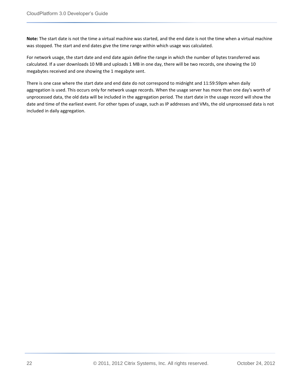**Note:** The start date is not the time a virtual machine was started, and the end date is not the time when a virtual machine was stopped. The start and end dates give the time range within which usage was calculated.

For network usage, the start date and end date again define the range in which the number of bytes transferred was calculated. If a user downloads 10 MB and uploads 1 MB in one day, there will be two records, one showing the 10 megabytes received and one showing the 1 megabyte sent.

There is one case where the start date and end date do not correspond to midnight and 11:59:59pm when daily aggregation is used. This occurs only for network usage records. When the usage server has more than one day's worth of unprocessed data, the old data will be included in the aggregation period. The start date in the usage record will show the date and time of the earliest event. For other types of usage, such as IP addresses and VMs, the old unprocessed data is not included in daily aggregation.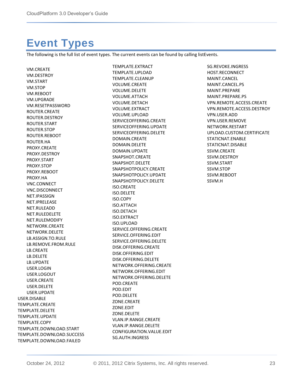# <span id="page-22-0"></span>**Event Types**

The following is the full list of event types. The current events can be found by calling listEvents.

VM.CREATE VM.DESTROY VM.START VM.STOP VM.REBOOT VM.UPGRADE VM.RESETPASSWORD ROUTER.CREATE ROUTER.DESTROY ROUTER.START ROUTER.STOP ROUTER.REBOOT ROUTER.HA PROXY.CREATE PROXY.DESTROY PROXY.START PROXY.STOP PROXY.REBOOT PROXY.HA VNC.CONNECT VNC.DISCONNECT NET.IPASSIGN NET.IPRELEASE NET.RULEADD NET.RULEDELETE NET.RULEMODIFY NETWORK.CREATE NETWORK.DELETE LB.ASSIGN.TO.RULE LB.REMOVE.FROM.RULE LB.CREATE LB.DELETE LB.UPDATE USER.LOGIN USER.LOGOUT USER.CREATE USER.DELETE USER.UPDATE USER.DISABLE TEMPLATE.CREATE TEMPLATE.DELETE TEMPLATE.UPDATE TEMPLATE.COPY TEMPLATE.DOWNLOAD.START TEMPLATE.DOWNLOAD.SUCCESS TEMPLATE.DOWNLOAD.FAILED

TEMPLATE.EXTRACT TEMPLATE.UPLOAD TEMPLATE.CLEANUP VOLUME.CREATE VOLUME.DELETE VOLUME.ATTACH VOLUME.DETACH VOLUME.EXTRACT VOLUME.UPLOAD SERVICEOFFERING.CREATE SERVICEOFFERING.UPDATE SERVICEOFFERING.DELETE DOMAIN.CREATE DOMAIN.DELETE DOMAIN.UPDATE SNAPSHOT.CREATE SNAPSHOT.DELETE SNAPSHOTPOLICY.CREATE SNAPSHOTPOLICY.UPDATE SNAPSHOTPOLICY.DELETE ISO.CREATE ISO.DELETE ISO.COPY ISO.ATTACH ISO.DETACH ISO.EXTRACT ISO.UPLOAD SERVICE.OFFERING.CREATE SERVICE.OFFERING.EDIT SERVICE.OFFERING.DELETE DISK.OFFERING.CREATE DISK.OFFERING.EDIT DISK.OFFERING.DELETE NETWORK.OFFERING.CREATE NETWORK.OFFERING.EDIT NETWORK.OFFERING.DELETE POD.CREATE POD.EDIT POD.DELETE ZONE.CREATE ZONE.EDIT ZONE.DELETE VLAN.IP.RANGE.CREATE VLAN.IP.RANGE.DELETE CONFIGURATION.VALUE.EDIT SG.AUTH.INGRESS

SG.REVOKE.INGRESS HOST.RECONNECT MAINT.CANCEL MAINT.CANCEL.PS MAINT.PREPARE MAINT.PREPARE.PS VPN.REMOTE.ACCESS.CREATE VPN.REMOTE.ACCESS.DESTROY VPN.USER.ADD VPN.USER.REMOVE NETWORK.RESTART UPLOAD.CUSTOM.CERTIFICATE STATICNAT.ENABLE STATICNAT.DISABLE SSVM.CREATE SSVM.DESTROY SSVM.START SSVM.STOP SSVM.REBOOT SSVM.H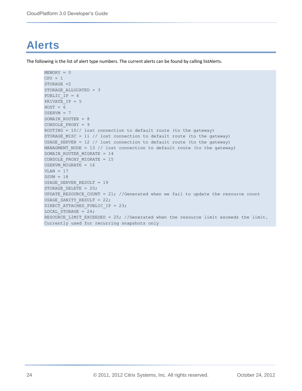# <span id="page-23-0"></span>**Alerts**

The following is the list of alert type numbers. The current alerts can be found by calling listAlerts.

```
MEMORY = 0
CPU = 1STORAGE =2
STORAGE_ALLOCATED = 3
PUBLIC_IP = 4
PRIVATE IP = 5
HOST = 6USERVM = 7DOMAIN_ROUTER = 8
CONSOLE_PROXY = 9
ROUTING = 10// lost connection to default route (to the gateway)
STORAGE_MISC = 11 // lost connection to default route (to the gateway)
USAGE SERVER = 12 // lost connection to default route (to the gateway)
MANAGMENT NODE = 13 // lost connection to default route (to the gateway)
DOMAIN_ROUTER_MIGRATE = 14
CONSOLE_PROXY_MIGRATE = 15
USERVM_MIGRATE = 16
VLAN = 17SSVM = 18USAGE_SERVER_RESULT = 19
STORAGE DELETE = 20;
UPDATE RESOURCE COUNT = 21; //Generated when we fail to update the resource count
USAGE_SANITY_RESULT = 22;DIRECT ATTACHED PUBLIC IP = 23;
LOCAL STORAGE = 24;RESOURCE LIMIT EXCEEDED = 25; //Generated when the resource limit exceeds the limit.
Currently used for recurring snapshots only
```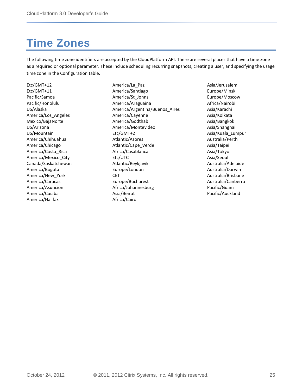# <span id="page-24-0"></span>**Time Zones**

The following time zone identifiers are accepted by the CloudPlatform API. There are several places that have a time zone as a required or optional parameter. These include scheduling recurring snapshots, creating a user, and specifying the usage time zone in the Configuration table.

Etc/GMT+12 Etc/GMT+11 Pacific/Samoa Pacific/Honolulu US/Alaska America/Los\_Angeles Mexico/BajaNorte US/Arizona US/Mountain America/Chihuahua America/Chicago America/Costa\_Rica America/Mexico\_City Canada/Saskatchewan America/Bogota America/New\_York America/Caracas America/Asuncion America/Cuiaba America/Halifax

America/La\_Paz America/Santiago America/St\_Johns America/Araguaina America/Argentina/Buenos\_Aires America/Cayenne America/Godthab America/Montevideo Etc/GMT+2 Atlantic/Azores Atlantic/Cape\_Verde Africa/Casablanca Etc/UTC Atlantic/Reykjavik Europe/London **CET** Europe/Bucharest Africa/Johannesburg Asia/Beirut Africa/Cairo

Asia/Jerusalem Europe/Minsk Europe/Moscow Africa/Nairobi Asia/Karachi Asia/Kolkata Asia/Bangkok Asia/Shanghai Asia/Kuala\_Lumpur Australia/Perth Asia/Taipei Asia/Tokyo Asia/Seoul Australia/Adelaide Australia/Darwin Australia/Brisbane Australia/Canberra Pacific/Guam Pacific/Auckland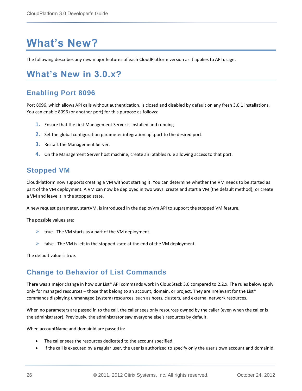# <span id="page-25-0"></span>**What's New?**

The following describes any new major features of each CloudPlatform version as it applies to API usage.

### <span id="page-25-1"></span>**What's New in 3.0.x?**

### <span id="page-25-2"></span>**Enabling Port 8096**

Port 8096, which allows API calls without authentication, is closed and disabled by default on any fresh 3.0.1 installations. You can enable 8096 (or another port) for this purpose as follows:

- **1.** Ensure that the first Management Server is installed and running.
- **2.** Set the global configuration parameter integration.api.port to the desired port.
- **3.** Restart the Management Server.
- **4.** On the Management Server host machine, create an iptables rule allowing access to that port.

### <span id="page-25-3"></span>**Stopped VM**

CloudPlatform now supports creating a VM without starting it. You can determine whether the VM needs to be started as part of the VM deployment. A VM can now be deployed in two ways: create and start a VM (the default method); or create a VM and leave it in the stopped state.

A new request parameter, startVM, is introduced in the deployVm API to support the stopped VM feature.

The possible values are:

- $\triangleright$  true The VM starts as a part of the VM deployment.
- false The VM is left in the stopped state at the end of the VM deployment.

The default value is true.

### <span id="page-25-4"></span>**Change to Behavior of List Commands**

There was a major change in how our List\* API commands work in CloudStack 3.0 compared to 2.2.x. The rules below apply only for managed resources – those that belong to an account, domain, or project. They are irrelevant for the List\* commands displaying unmanaged (system) resources, such as hosts, clusters, and external network resources.

When no parameters are passed in to the call, the caller sees only resources owned by the caller (even when the caller is the administrator). Previously, the administrator saw everyone else's resources by default.

When accountName and domainId are passed in:

- The caller sees the resources dedicated to the account specified.
- If the call is executed by a regular user, the user is authorized to specify only the user's own account and domainId.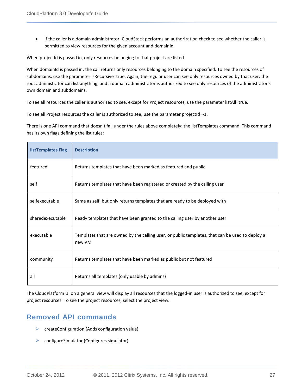If the caller is a domain administrator, CloudStack performs an authorization check to see whether the caller is permitted to view resources for the given account and domainId.

When projectId is passed in, only resources belonging to that project are listed.

When domainId is passed in, the call returns only resources belonging to the domain specified. To see the resources of subdomains, use the parameter isRecursive=true. Again, the regular user can see only resources owned by that user, the root administrator can list anything, and a domain administrator is authorized to see only resources of the administrator's own domain and subdomains.

To see all resources the caller is authorized to see, except for Project resources, use the parameter listAll=true.

To see all Project resources the caller is authorized to see, use the parameter projectId=-1.

There is one API command that doesn't fall under the rules above completely: the listTemplates command. This command has its own flags defining the list rules:

| listTemplates Flag | <b>Description</b>                                                                                        |  |
|--------------------|-----------------------------------------------------------------------------------------------------------|--|
| featured           | Returns templates that have been marked as featured and public                                            |  |
| self               | Returns templates that have been registered or created by the calling user                                |  |
| selfexecutable     | Same as self, but only returns templates that are ready to be deployed with                               |  |
| sharedexecutable   | Ready templates that have been granted to the calling user by another user                                |  |
| executable         | Templates that are owned by the calling user, or public templates, that can be used to deploy a<br>new VM |  |
| community          | Returns templates that have been marked as public but not featured                                        |  |
| all                | Returns all templates (only usable by admins)                                                             |  |

The CloudPlatform UI on a general view will display all resources that the logged-in user is authorized to see, except for project resources. To see the project resources, select the project view.

### <span id="page-26-0"></span>**Removed API commands**

- $\triangleright$  createConfiguration (Adds configuration value)
- configureSimulator (Configures simulator)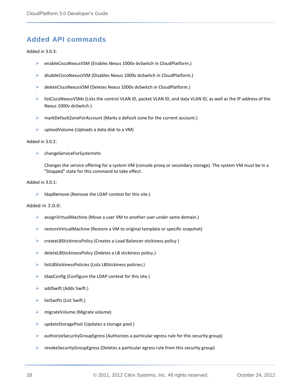### <span id="page-27-0"></span>**Added API commands**

#### Added in 3.0.3:

- enableCiscoNexusVSM (Enables Nexus 1000v dvSwitch in CloudPlatform.)
- disableCiscoNexusVSM (Disables Nexus 1000v dvSwitch in CloudPlatform.)
- deleteCiscoNexusVSM (Deletes Nexus 1000v dvSwitch in CloudPlatform.)
- $\triangleright$  listCiscoNexusVSMs (Lists the control VLAN ID, packet VLAN ID, and data VLAN ID, as well as the IP address of the Nexus 1000v dvSwitch.)
- markDefaultZoneForAccount (Marks a default zone for the current account.)
- $\triangleright$  uploadVolume (Uploads a data disk to a VM)

#### Added in 3.0.2:

changeServiceForSystemVm

Changes the service offering for a system VM (console proxy or secondary storage). The system VM must be in a "Stopped" state for this command to take effect.

#### Added in 3.0.1:

 $\blacktriangleright$  IdapRemove (Remove the LDAP context for this site.)

#### Added in 3.0.0:

- ▶ assignVirtualMachine (Move a user VM to another user under same domain.)
- $\triangleright$  restoreVirtualMachine (Restore a VM to original template or specific snapshot)
- createLBStickinessPolicy (Creates a Load Balancer stickiness policy )
- deleteLBStickinessPolicy (Deletes a LB stickiness policy.)
- $\triangleright$  listLBStickinessPolicies (Lists LBStickiness policies.)
- $\triangleright$  IdapConfig (Configure the LDAP context for this site.)
- $\triangleright$  addSwift (Adds Swift.)
- $\triangleright$  listSwifts (List Swift.)
- $\triangleright$  migrateVolume (Migrate volume)
- updateStoragePool (Updates a storage pool.)
- $\triangleright$  authorizeSecurityGroupEgress (Authorizes a particular egress rule for this security group)
- $\triangleright$  revokeSecurityGroupEgress (Deletes a particular egress rule from this security group)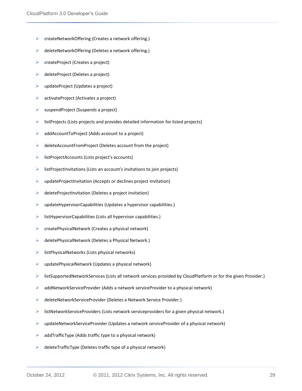- $\triangleright$  createNetworkOffering (Creates a network offering.)
- deleteNetworkOffering (Deletes a network offering.)
- $\triangleright$  createProject (Creates a project)
- $\triangleright$  deleteProject (Deletes a project)
- $\triangleright$  updateProject (Updates a project)
- activateProject (Activates a project)
- $\triangleright$  suspendProject (Suspends a project)
- $\triangleright$  listProjects (Lists projects and provides detailed information for listed projects)
- $\triangleright$  addAccountToProject (Adds acoount to a project)
- $\triangleright$  deleteAccountFromProject (Deletes account from the project)
- $\triangleright$  listProjectAccounts (Lists project's accounts)
- $\triangleright$  listProjectInvitations (Lists an account's invitations to join projects)
- $\triangleright$  updateProjectInvitation (Accepts or declines project invitation)
- $\triangleright$  deleteProjectInvitation (Deletes a project invitation)
- $\triangleright$  updateHypervisorCapabilities (Updates a hypervisor capabilities.)
- $\triangleright$  listHypervisorCapabilities (Lists all hypervisor capabilities.)
- $\triangleright$  createPhysicalNetwork (Creates a physical network)
- $\triangleright$  deletePhysicalNetwork (Deletes a Physical Network.)
- $\triangleright$  listPhysicalNetworks (Lists physical networks)
- $\triangleright$  updatePhysicalNetwork (Updates a physical network)
- listSupportedNetworkServices (Lists all network services provided by CloudPlatform or for the given Provider.)
- $\triangleright$  addNetworkServiceProvider (Adds a network serviceProvider to a physical network)
- ▶ deleteNetworkServiceProvider (Deletes a Network Service Provider.)
- $\triangleright$  listNetworkServiceProviders (Lists network serviceproviders for a given physical network.)
- $\triangleright$  updateNetworkServiceProvider (Updates a network serviceProvider of a physical network)
- $\triangleright$  addTrafficType (Adds traffic type to a physical network)
- $\triangleright$  deleteTrafficType (Deletes traffic type of a physical network)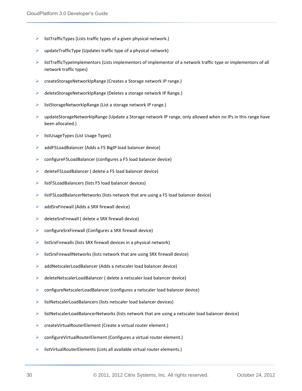- $\triangleright$  listTrafficTypes (Lists traffic types of a given physical network.)
- $\triangleright$  updateTrafficType (Updates traffic type of a physical network)
- $\triangleright$  listTrafficTypeImplementors (Lists implementors of implementor of a network traffic type or implementors of all network traffic types)
- createStorageNetworkIpRange (Creates a Storage network IP range.)
- deleteStorageNetworkIpRange (Deletes a storage network IP Range.)
- listStorageNetworkIpRange (List a storage network IP range.)
- $\triangleright$  updateStorageNetworkIpRange (Update a Storage network IP range, only allowed when no IPs in this range have been allocated.)
- $\triangleright$  listUsageTypes (List Usage Types)
- addF5LoadBalancer (Adds a F5 BigIP load balancer device)
- configureF5LoadBalancer (configures a F5 load balancer device)
- deleteF5LoadBalancer ( delete a F5 load balancer device)
- $\triangleright$  listF5LoadBalancers (lists F5 load balancer devices)
- $\triangleright$  listF5LoadBalancerNetworks (lists network that are using a F5 load balancer device)
- $\triangleright$  addSrxFirewall (Adds a SRX firewall device)
- $\triangleright$  deleteSrxFirewall ( delete a SRX firewall device)
- configureSrxFirewall (Configures a SRX firewall device)
- $\triangleright$  listSrxFirewalls (lists SRX firewall devices in a physical network)
- $\triangleright$  listSrxFirewallNetworks (lists network that are using SRX firewall device)
- addNetscalerLoadBalancer (Adds a netscaler load balancer device)
- $\triangleright$  deleteNetscalerLoadBalancer ( delete a netscaler load balancer device)
- configureNetscalerLoadBalancer (configures a netscaler load balancer device)
- $\triangleright$  listNetscalerLoadBalancers (lists netscaler load balancer devices)
- $\triangleright$  listNetscalerLoadBalancerNetworks (lists network that are using a netscaler load balancer device)
- $\triangleright$  createVirtualRouterElement (Create a virtual router element.)
- $\triangleright$  configureVirtualRouterElement (Configures a virtual router element.)
- $\triangleright$  listVirtualRouterElements (Lists all available virtual router elements.)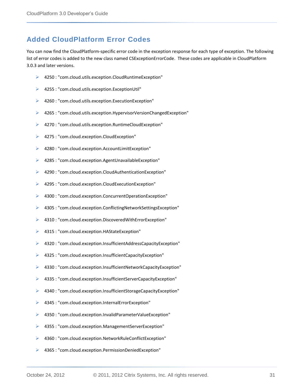### <span id="page-30-0"></span>**Added CloudPlatform Error Codes**

You can now find the CloudPlatform-specific error code in the exception response for each type of exception. The following list of error codes is added to the new class named CSExceptionErrorCode. These codes are applicable in CloudPlatform 3.0.3 and later versions.

- 4250 : "com.cloud.utils.exception.CloudRuntimeException"
- 4255 : "com.cloud.utils.exception.ExceptionUtil"
- 4260 : "com.cloud.utils.exception.ExecutionException"
- 4265 : "com.cloud.utils.exception.HypervisorVersionChangedException"
- ▶ 4270 : "com.cloud.utils.exception.RuntimeCloudException"
- ▶ 4275 : "com.cloud.exception.CloudException"
- 4280 : "com.cloud.exception.AccountLimitException"
- 4285 : "com.cloud.exception.AgentUnavailableException"
- 4290 : "com.cloud.exception.CloudAuthenticationException"
- 4295 : "com.cloud.exception.CloudExecutionException"
- 4300 : "com.cloud.exception.ConcurrentOperationException"
- 4305 : "com.cloud.exception.ConflictingNetworkSettingsException"
- 4310 : "com.cloud.exception.DiscoveredWithErrorException"
- 4315 : "com.cloud.exception.HAStateException"
- 4320 : "com.cloud.exception.InsufficientAddressCapacityException"
- 4325 : "com.cloud.exception.InsufficientCapacityException"
- 4330 : "com.cloud.exception.InsufficientNetworkCapacityException"
- 4335 : "com.cloud.exception.InsufficientServerCapacityException"
- 4340 : "com.cloud.exception.InsufficientStorageCapacityException"
- 4345 : "com.cloud.exception.InternalErrorException"
- 4350 : "com.cloud.exception.InvalidParameterValueException"
- 4355 : "com.cloud.exception.ManagementServerException"
- 4360 : "com.cloud.exception.NetworkRuleConflictException"
- 4365 : "com.cloud.exception.PermissionDeniedException"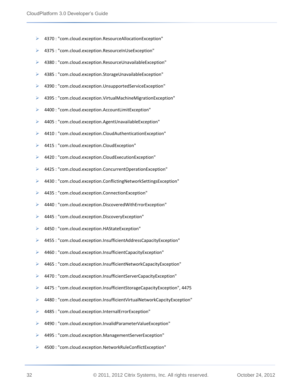- 4370 : "com.cloud.exception.ResourceAllocationException"
- 4375 : "com.cloud.exception.ResourceInUseException"
- 4380 : "com.cloud.exception.ResourceUnavailableException"
- 4385 : "com.cloud.exception.StorageUnavailableException"
- 4390 : "com.cloud.exception.UnsupportedServiceException"
- 4395 : "com.cloud.exception.VirtualMachineMigrationException"
- 4400 : "com.cloud.exception.AccountLimitException"
- 4405 : "com.cloud.exception.AgentUnavailableException"
- 4410 : "com.cloud.exception.CloudAuthenticationException"
- ▶ 4415 : "com.cloud.exception.CloudException"
- 4420 : "com.cloud.exception.CloudExecutionException"
- 4425 : "com.cloud.exception.ConcurrentOperationException"
- 4430 : "com.cloud.exception.ConflictingNetworkSettingsException"
- ▶ 4435 : "com.cloud.exception.ConnectionException"
- 4440 : "com.cloud.exception.DiscoveredWithErrorException"
- 4445 : "com.cloud.exception.DiscoveryException"
- 4450 : "com.cloud.exception.HAStateException"
- 4455 : "com.cloud.exception.InsufficientAddressCapacityException"
- 4460 : "com.cloud.exception.InsufficientCapacityException"
- 4465 : "com.cloud.exception.InsufficientNetworkCapacityException"
- 4470 : "com.cloud.exception.InsufficientServerCapacityException"
- 4475 : "com.cloud.exception.InsufficientStorageCapacityException", 4475
- 4480 : "com.cloud.exception.InsufficientVirtualNetworkCapcityException"
- 4485 : "com.cloud.exception.InternalErrorException"
- 4490 : "com.cloud.exception.InvalidParameterValueException"
- 4495 : "com.cloud.exception.ManagementServerException"
- 4500 : "com.cloud.exception.NetworkRuleConflictException"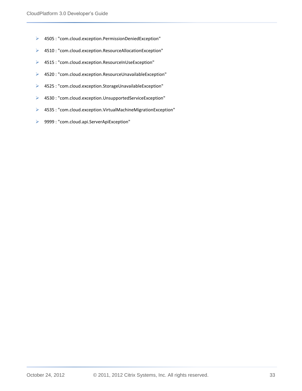- 4505 : "com.cloud.exception.PermissionDeniedException"
- 4510 : "com.cloud.exception.ResourceAllocationException"
- 4515 : "com.cloud.exception.ResourceInUseException"
- 4520 : "com.cloud.exception.ResourceUnavailableException"
- 4525 : "com.cloud.exception.StorageUnavailableException"
- 4530 : "com.cloud.exception.UnsupportedServiceException"
- 4535 : "com.cloud.exception.VirtualMachineMigrationException"
- 9999 : "com.cloud.api.ServerApiException"